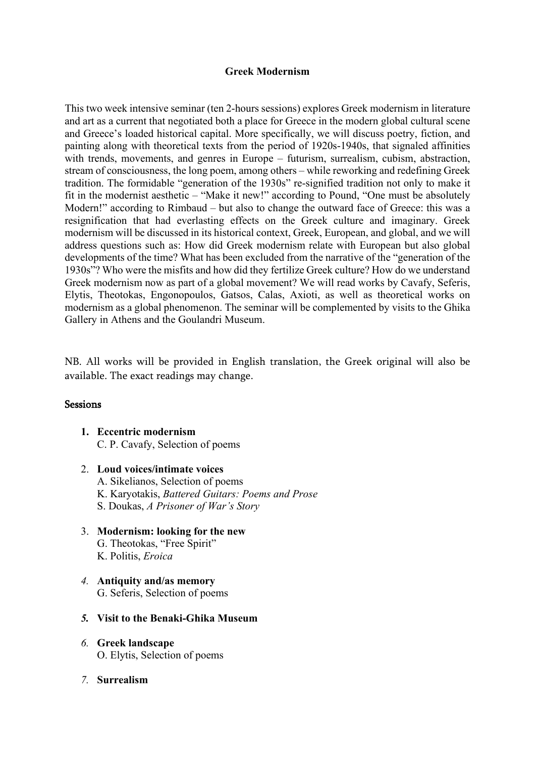## **Greek Modernism**

This two week intensive seminar (ten 2-hours sessions) explores Greek modernism in literature and art as a current that negotiated both a place for Greece in the modern global cultural scene and Greece's loaded historical capital. More specifically, we will discuss poetry, fiction, and painting along with theoretical texts from the period of 1920s-1940s, that signaled affinities with trends, movements, and genres in Europe – futurism, surrealism, cubism, abstraction, stream of consciousness, the long poem, among others – while reworking and redefining Greek tradition. The formidable "generation of the 1930s" re-signified tradition not only to make it fit in the modernist aesthetic – "Make it new!" according to Pound, "One must be absolutely Modern!" according to Rimbaud – but also to change the outward face of Greece: this was a resignification that had everlasting effects on the Greek culture and imaginary. Greek modernism will be discussed in its historical context, Greek, European, and global, and we will address questions such as: How did Greek modernism relate with European but also global developments of the time? What has been excluded from the narrative of the "generation of the 1930s"? Who were the misfits and how did they fertilize Greek culture? How do we understand Greek modernism now as part of a global movement? We will read works by Cavafy, Seferis, Elytis, Theotokas, Engonopoulos, Gatsos, Calas, Axioti, as well as theoretical works on modernism as a global phenomenon. The seminar will be complemented by visits to the Ghika Gallery in Athens and the Goulandri Museum.

NB. All works will be provided in English translation, the Greek original will also be available. The exact readings may change.

## **Sessions**

- **1. Eccentric modernism**  C. P. Cavafy, Selection of poems
- 2. **Loud voices/intimate voices** A. Sikelianos, Selection of poems K. Karyotakis, *Battered Guitars: Poems and Prose* S. Doukas, *A Prisoner of War's Story*
- 3. **Modernism: looking for the new** G. Theotokas, "Free Spirit" K. Politis, *Eroica*
- *4.* **Antiquity and/as memory** G. Seferis, Selection of poems
- *5.* **Visit to the Benaki-Ghika Museum**
- *6.* **Greek landscape** O. Elytis, Selection of poems
- *7.* **Surrealism**